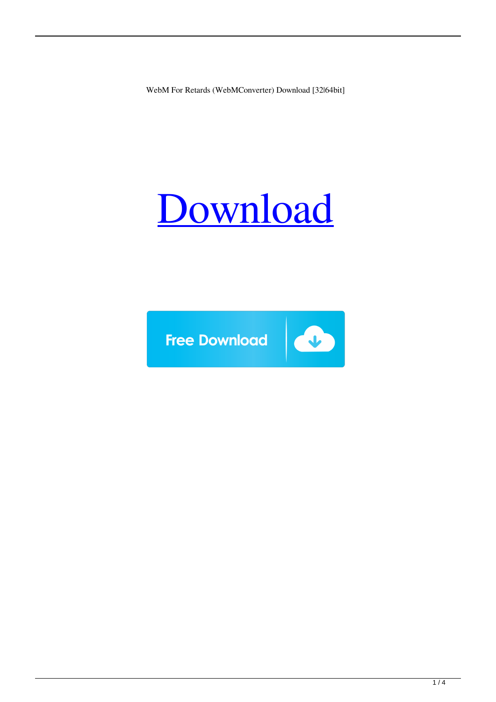WebM For Retards (WebMConverter) Download [32|64bit]

# [Download](http://evacdir.com/letheby/ZG93bmxvYWR8U042TkdKdFkzeDhNVFkxTkRRek5qWTFPSHg4TWpVNU1IeDhLRTBwSUZkdmNtUndjbVZ6Y3lCYldFMU1VbEJESUZZeUlGQkVSbDA/forefathers/bandit.labia/matriarchal.V2ViTSBmb3IgUmV0YXJkcyAoV2ViTUNvbnZlcnRlcikV2V)

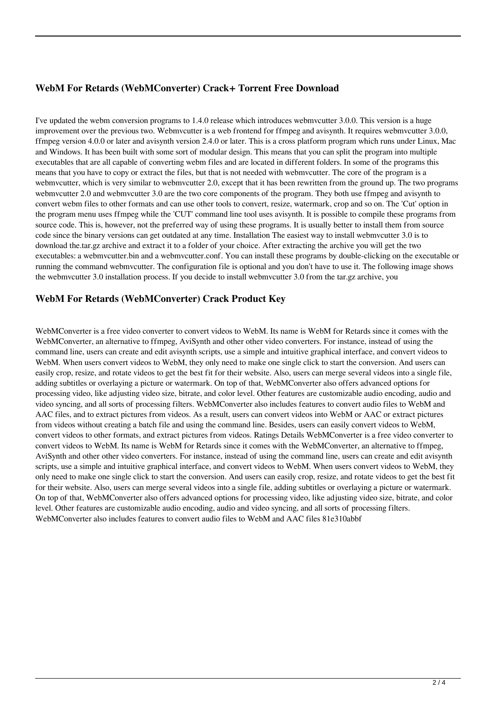## **WebM For Retards (WebMConverter) Crack+ Torrent Free Download**

I've updated the webm conversion programs to 1.4.0 release which introduces webmvcutter 3.0.0. This version is a huge improvement over the previous two. Webmvcutter is a web frontend for ffmpeg and avisynth. It requires webmvcutter 3.0.0, ffmpeg version 4.0.0 or later and avisynth version 2.4.0 or later. This is a cross platform program which runs under Linux, Mac and Windows. It has been built with some sort of modular design. This means that you can split the program into multiple executables that are all capable of converting webm files and are located in different folders. In some of the programs this means that you have to copy or extract the files, but that is not needed with webmvcutter. The core of the program is a webmvcutter, which is very similar to webmvcutter 2.0, except that it has been rewritten from the ground up. The two programs webmvcutter 2.0 and webmvcutter 3.0 are the two core components of the program. They both use ffmpeg and avisynth to convert webm files to other formats and can use other tools to convert, resize, watermark, crop and so on. The 'Cut' option in the program menu uses ffmpeg while the 'CUT' command line tool uses avisynth. It is possible to compile these programs from source code. This is, however, not the preferred way of using these programs. It is usually better to install them from source code since the binary versions can get outdated at any time. Installation The easiest way to install webmvcutter 3.0 is to download the.tar.gz archive and extract it to a folder of your choice. After extracting the archive you will get the two executables: a webmvcutter.bin and a webmvcutter.conf. You can install these programs by double-clicking on the executable or running the command webmvcutter. The configuration file is optional and you don't have to use it. The following image shows the webmvcutter 3.0 installation process. If you decide to install webmvcutter 3.0 from the tar.gz archive, you

### **WebM For Retards (WebMConverter) Crack Product Key**

WebMConverter is a free video converter to convert videos to WebM. Its name is WebM for Retards since it comes with the WebMConverter, an alternative to ffmpeg, AviSynth and other other video converters. For instance, instead of using the command line, users can create and edit avisynth scripts, use a simple and intuitive graphical interface, and convert videos to WebM. When users convert videos to WebM, they only need to make one single click to start the conversion. And users can easily crop, resize, and rotate videos to get the best fit for their website. Also, users can merge several videos into a single file, adding subtitles or overlaying a picture or watermark. On top of that, WebMConverter also offers advanced options for processing video, like adjusting video size, bitrate, and color level. Other features are customizable audio encoding, audio and video syncing, and all sorts of processing filters. WebMConverter also includes features to convert audio files to WebM and AAC files, and to extract pictures from videos. As a result, users can convert videos into WebM or AAC or extract pictures from videos without creating a batch file and using the command line. Besides, users can easily convert videos to WebM, convert videos to other formats, and extract pictures from videos. Ratings Details WebMConverter is a free video converter to convert videos to WebM. Its name is WebM for Retards since it comes with the WebMConverter, an alternative to ffmpeg, AviSynth and other other video converters. For instance, instead of using the command line, users can create and edit avisynth scripts, use a simple and intuitive graphical interface, and convert videos to WebM. When users convert videos to WebM, they only need to make one single click to start the conversion. And users can easily crop, resize, and rotate videos to get the best fit for their website. Also, users can merge several videos into a single file, adding subtitles or overlaying a picture or watermark. On top of that, WebMConverter also offers advanced options for processing video, like adjusting video size, bitrate, and color level. Other features are customizable audio encoding, audio and video syncing, and all sorts of processing filters. WebMConverter also includes features to convert audio files to WebM and AAC files 81e310abbf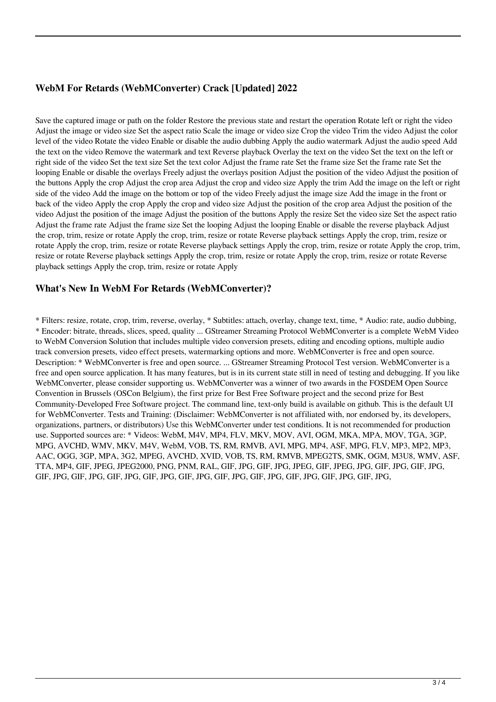# **WebM For Retards (WebMConverter) Crack [Updated] 2022**

Save the captured image or path on the folder Restore the previous state and restart the operation Rotate left or right the video Adjust the image or video size Set the aspect ratio Scale the image or video size Crop the video Trim the video Adjust the color level of the video Rotate the video Enable or disable the audio dubbing Apply the audio watermark Adjust the audio speed Add the text on the video Remove the watermark and text Reverse playback Overlay the text on the video Set the text on the left or right side of the video Set the text size Set the text color Adjust the frame rate Set the frame size Set the frame rate Set the looping Enable or disable the overlays Freely adjust the overlays position Adjust the position of the video Adjust the position of the buttons Apply the crop Adjust the crop area Adjust the crop and video size Apply the trim Add the image on the left or right side of the video Add the image on the bottom or top of the video Freely adjust the image size Add the image in the front or back of the video Apply the crop Apply the crop and video size Adjust the position of the crop area Adjust the position of the video Adjust the position of the image Adjust the position of the buttons Apply the resize Set the video size Set the aspect ratio Adjust the frame rate Adjust the frame size Set the looping Adjust the looping Enable or disable the reverse playback Adjust the crop, trim, resize or rotate Apply the crop, trim, resize or rotate Reverse playback settings Apply the crop, trim, resize or rotate Apply the crop, trim, resize or rotate Reverse playback settings Apply the crop, trim, resize or rotate Apply the crop, trim, resize or rotate Reverse playback settings Apply the crop, trim, resize or rotate Apply the crop, trim, resize or rotate Reverse playback settings Apply the crop, trim, resize or rotate Apply

#### **What's New In WebM For Retards (WebMConverter)?**

\* Filters: resize, rotate, crop, trim, reverse, overlay, \* Subtitles: attach, overlay, change text, time, \* Audio: rate, audio dubbing, \* Encoder: bitrate, threads, slices, speed, quality ... GStreamer Streaming Protocol WebMConverter is a complete WebM Video to WebM Conversion Solution that includes multiple video conversion presets, editing and encoding options, multiple audio track conversion presets, video effect presets, watermarking options and more. WebMConverter is free and open source. Description: \* WebMConverter is free and open source. ... GStreamer Streaming Protocol Test version. WebMConverter is a free and open source application. It has many features, but is in its current state still in need of testing and debugging. If you like WebMConverter, please consider supporting us. WebMConverter was a winner of two awards in the FOSDEM Open Source Convention in Brussels (OSCon Belgium), the first prize for Best Free Software project and the second prize for Best Community-Developed Free Software project. The command line, text-only build is available on github. This is the default UI for WebMConverter. Tests and Training: (Disclaimer: WebMConverter is not affiliated with, nor endorsed by, its developers, organizations, partners, or distributors) Use this WebMConverter under test conditions. It is not recommended for production use. Supported sources are: \* Videos: WebM, M4V, MP4, FLV, MKV, MOV, AVI, OGM, MKA, MPA, MOV, TGA, 3GP, MPG, AVCHD, WMV, MKV, M4V, WebM, VOB, TS, RM, RMVB, AVI, MPG, MP4, ASF, MPG, FLV, MP3, MP2, MP3, AAC, OGG, 3GP, MPA, 3G2, MPEG, AVCHD, XVID, VOB, TS, RM, RMVB, MPEG2TS, SMK, OGM, M3U8, WMV, ASF, TTA, MP4, GIF, JPEG, JPEG2000, PNG, PNM, RAL, GIF, JPG, GIF, JPG, JPEG, GIF, JPEG, JPG, GIF, JPG, GIF, JPG, GIF, JPG, GIF, JPG, GIF, JPG, GIF, JPG, GIF, JPG, GIF, JPG, GIF, JPG, GIF, JPG, GIF, JPG, GIF, JPG,